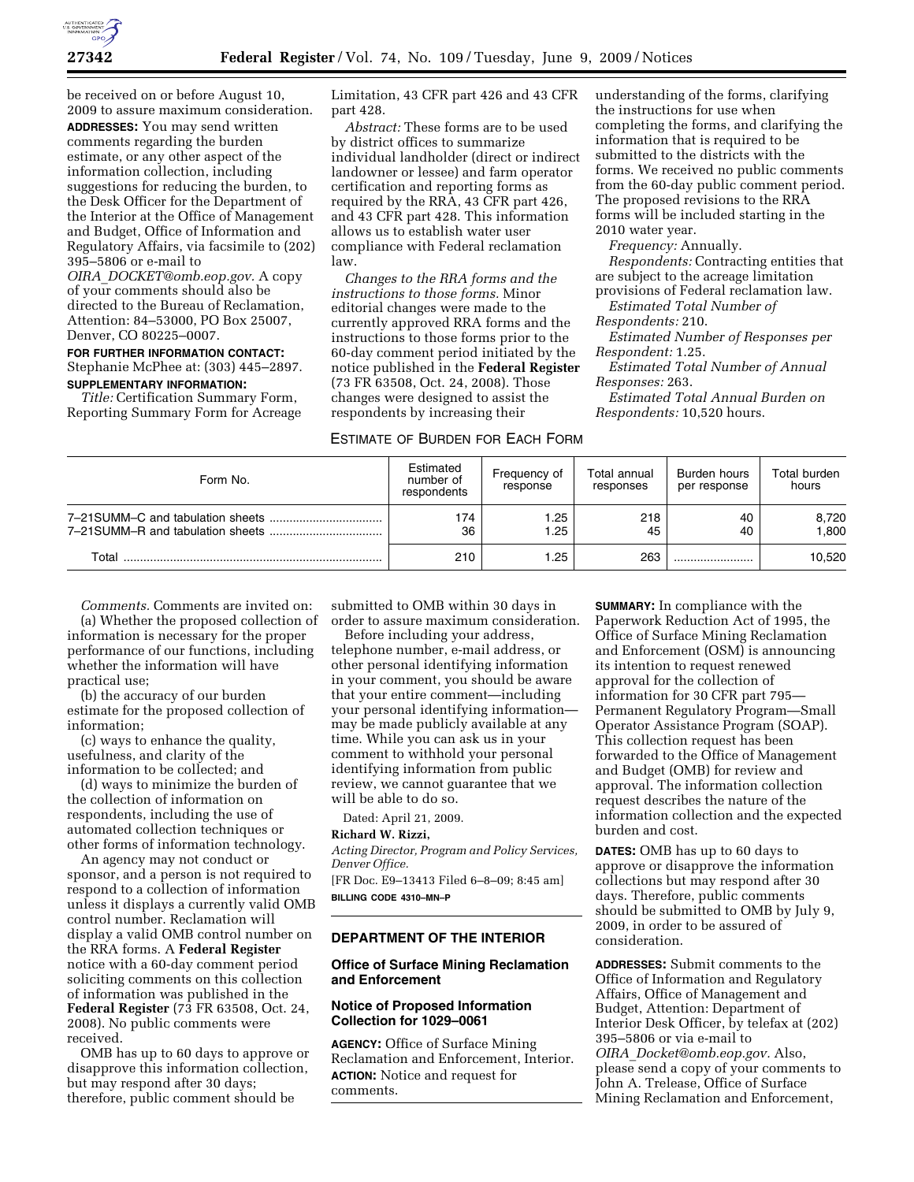

be received on or before August 10, 2009 to assure maximum consideration. **ADDRESSES:** You may send written comments regarding the burden estimate, or any other aspect of the information collection, including suggestions for reducing the burden, to the Desk Officer for the Department of the Interior at the Office of Management and Budget, Office of Information and Regulatory Affairs, via facsimile to (202) 395–5806 or e-mail to

*OIRA*\_*DOCKET@omb.eop.gov.* A copy of your comments should also be directed to the Bureau of Reclamation, Attention: 84–53000, PO Box 25007, Denver, CO 80225–0007.

## **FOR FURTHER INFORMATION CONTACT:**  Stephanie McPhee at: (303) 445–2897. **SUPPLEMENTARY INFORMATION:**

*Title:* Certification Summary Form, Reporting Summary Form for Acreage Limitation, 43 CFR part 426 and 43 CFR part 428.

*Abstract:* These forms are to be used by district offices to summarize individual landholder (direct or indirect landowner or lessee) and farm operator certification and reporting forms as required by the RRA, 43 CFR part 426, and 43 CFR part 428. This information allows us to establish water user compliance with Federal reclamation law.

*Changes to the RRA forms and the instructions to those forms.* Minor editorial changes were made to the currently approved RRA forms and the instructions to those forms prior to the 60-day comment period initiated by the notice published in the **Federal Register**  (73 FR 63508, Oct. 24, 2008). Those changes were designed to assist the respondents by increasing their

# ESTIMATE OF BURDEN FOR EACH FORM

understanding of the forms, clarifying the instructions for use when completing the forms, and clarifying the information that is required to be submitted to the districts with the forms. We received no public comments from the 60-day public comment period. The proposed revisions to the RRA forms will be included starting in the 2010 water year.

*Frequency:* Annually.

*Respondents:* Contracting entities that are subject to the acreage limitation provisions of Federal reclamation law.

*Estimated Total Number of Respondents:* 210.

*Estimated Number of Responses per* 

*Respondent:* 1.25.

*Estimated Total Number of Annual Responses:* 263.

*Estimated Total Annual Burden on Respondents:* 10,520 hours.

| Form No. | Estimated<br>number of<br>respondents | Frequency of<br>response | Total annual<br>responses | Burden hours<br>per response | Total burden<br>hours |
|----------|---------------------------------------|--------------------------|---------------------------|------------------------------|-----------------------|
|          | 174<br>36                             | .25<br>.25               | 218<br>45                 | 40<br>40                     | 8,720<br>1.800        |
| Total    | 210                                   | .25                      | 263                       |                              | 10,520                |

*Comments.* Comments are invited on:

(a) Whether the proposed collection of information is necessary for the proper performance of our functions, including whether the information will have practical use;

(b) the accuracy of our burden estimate for the proposed collection of information;

(c) ways to enhance the quality, usefulness, and clarity of the information to be collected; and

(d) ways to minimize the burden of the collection of information on respondents, including the use of automated collection techniques or other forms of information technology.

An agency may not conduct or sponsor, and a person is not required to respond to a collection of information unless it displays a currently valid OMB control number. Reclamation will display a valid OMB control number on the RRA forms. A **Federal Register**  notice with a 60-day comment period soliciting comments on this collection of information was published in the **Federal Register** (73 FR 63508, Oct. 24, 2008). No public comments were received.

OMB has up to 60 days to approve or disapprove this information collection, but may respond after 30 days; therefore, public comment should be

submitted to OMB within 30 days in order to assure maximum consideration.

Before including your address, telephone number, e-mail address, or other personal identifying information in your comment, you should be aware that your entire comment—including your personal identifying information may be made publicly available at any time. While you can ask us in your comment to withhold your personal identifying information from public review, we cannot guarantee that we will be able to do so.

Dated: April 21, 2009.

## **Richard W. Rizzi,**

*Acting Director, Program and Policy Services, Denver Office.* 

[FR Doc. E9–13413 Filed 6–8–09; 8:45 am] **BILLING CODE 4310–MN–P** 

#### **DEPARTMENT OF THE INTERIOR**

#### **Office of Surface Mining Reclamation and Enforcement**

## **Notice of Proposed Information Collection for 1029–0061**

**AGENCY:** Office of Surface Mining Reclamation and Enforcement, Interior. **ACTION:** Notice and request for comments.

**SUMMARY:** In compliance with the Paperwork Reduction Act of 1995, the Office of Surface Mining Reclamation and Enforcement (OSM) is announcing its intention to request renewed approval for the collection of information for 30 CFR part 795— Permanent Regulatory Program—Small Operator Assistance Program (SOAP). This collection request has been forwarded to the Office of Management and Budget (OMB) for review and approval. The information collection request describes the nature of the information collection and the expected burden and cost.

**DATES:** OMB has up to 60 days to approve or disapprove the information collections but may respond after 30 days. Therefore, public comments should be submitted to OMB by July 9, 2009, in order to be assured of consideration.

**ADDRESSES:** Submit comments to the Office of Information and Regulatory Affairs, Office of Management and Budget, Attention: Department of Interior Desk Officer, by telefax at (202) 395–5806 or via e-mail to *OIRA*\_*Docket@omb.eop.gov.* Also, please send a copy of your comments to John A. Trelease, Office of Surface Mining Reclamation and Enforcement,